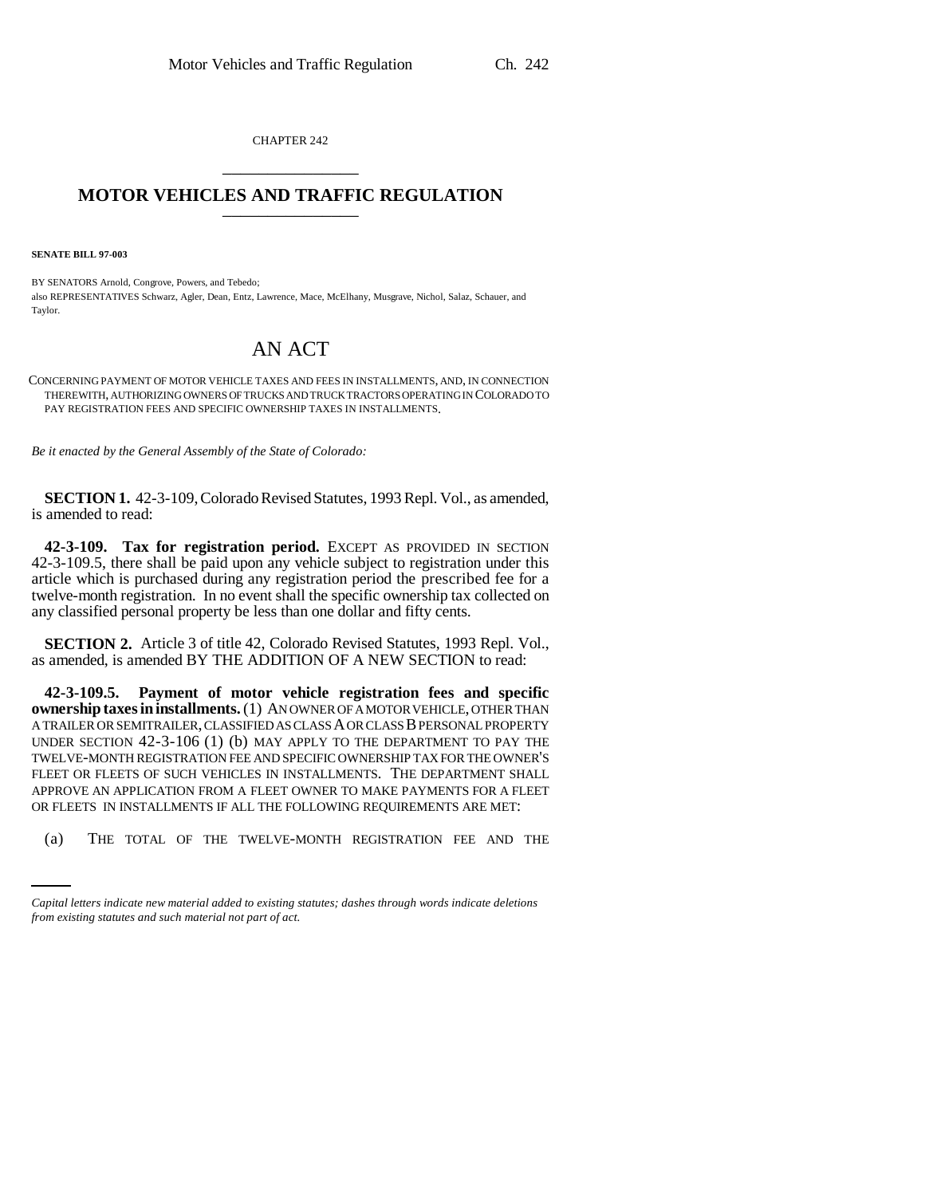CHAPTER 242 \_\_\_\_\_\_\_\_\_\_\_\_\_\_\_

## **MOTOR VEHICLES AND TRAFFIC REGULATION** \_\_\_\_\_\_\_\_\_\_\_\_\_\_\_

**SENATE BILL 97-003**

BY SENATORS Arnold, Congrove, Powers, and Tebedo; also REPRESENTATIVES Schwarz, Agler, Dean, Entz, Lawrence, Mace, McElhany, Musgrave, Nichol, Salaz, Schauer, and Taylor.

## AN ACT

CONCERNING PAYMENT OF MOTOR VEHICLE TAXES AND FEES IN INSTALLMENTS, AND, IN CONNECTION THEREWITH, AUTHORIZING OWNERS OF TRUCKS AND TRUCK TRACTORS OPERATING IN COLORADO TO PAY REGISTRATION FEES AND SPECIFIC OWNERSHIP TAXES IN INSTALLMENTS.

*Be it enacted by the General Assembly of the State of Colorado:*

**SECTION 1.** 42-3-109, Colorado Revised Statutes, 1993 Repl. Vol., as amended, is amended to read:

**42-3-109. Tax for registration period.** EXCEPT AS PROVIDED IN SECTION 42-3-109.5, there shall be paid upon any vehicle subject to registration under this article which is purchased during any registration period the prescribed fee for a twelve-month registration. In no event shall the specific ownership tax collected on any classified personal property be less than one dollar and fifty cents.

**SECTION 2.** Article 3 of title 42, Colorado Revised Statutes, 1993 Repl. Vol., as amended, is amended BY THE ADDITION OF A NEW SECTION to read:

OR FLEETS IN INSTALLMENTS IF ALL THE FOLLOWING REQUIREMENTS ARE MET: **42-3-109.5. Payment of motor vehicle registration fees and specific ownership taxes in installments.** (1) AN OWNER OF A MOTOR VEHICLE, OTHER THAN A TRAILER OR SEMITRAILER, CLASSIFIED AS CLASS A OR CLASS B PERSONAL PROPERTY UNDER SECTION 42-3-106 (1) (b) MAY APPLY TO THE DEPARTMENT TO PAY THE TWELVE-MONTH REGISTRATION FEE AND SPECIFIC OWNERSHIP TAX FOR THE OWNER'S FLEET OR FLEETS OF SUCH VEHICLES IN INSTALLMENTS. THE DEPARTMENT SHALL APPROVE AN APPLICATION FROM A FLEET OWNER TO MAKE PAYMENTS FOR A FLEET

(a) THE TOTAL OF THE TWELVE-MONTH REGISTRATION FEE AND THE

*Capital letters indicate new material added to existing statutes; dashes through words indicate deletions from existing statutes and such material not part of act.*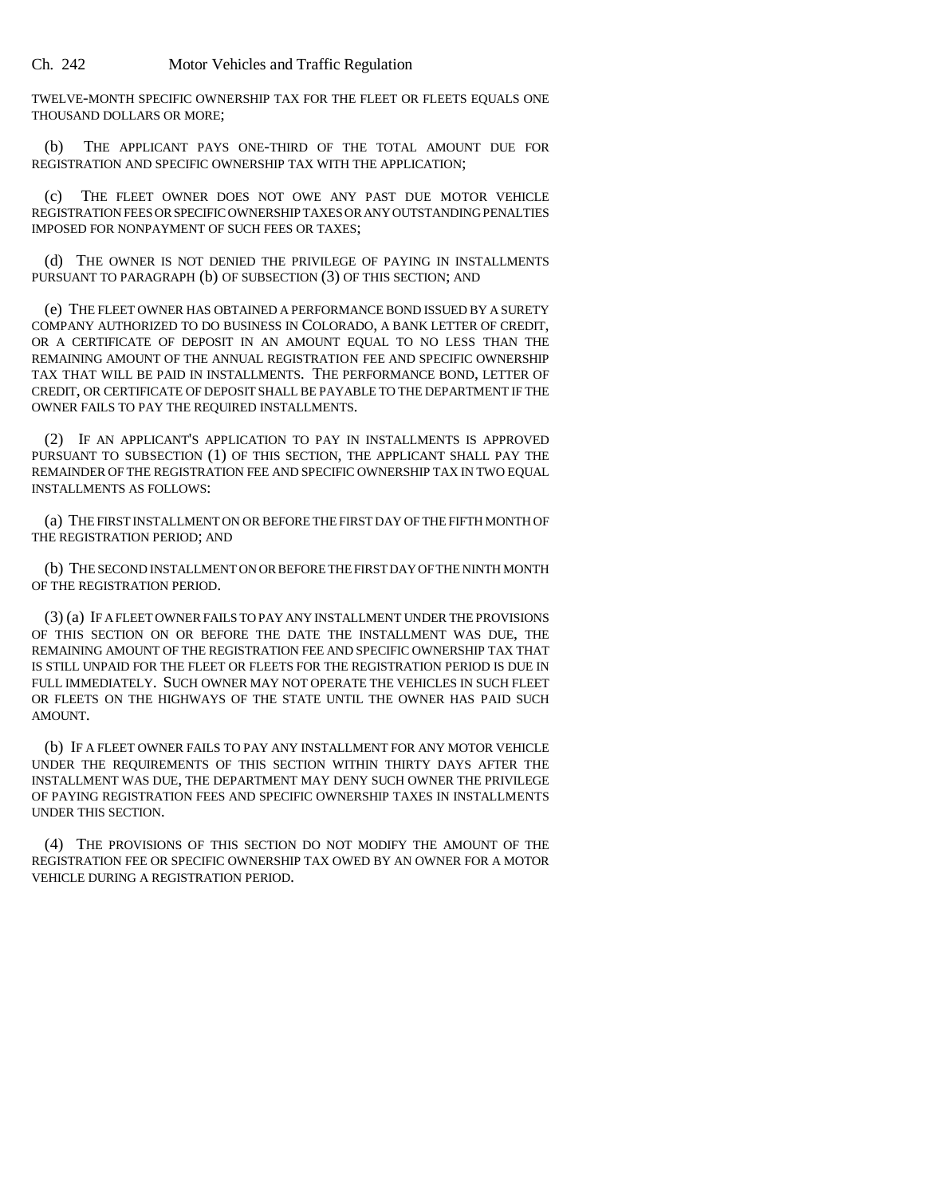Ch. 242 Motor Vehicles and Traffic Regulation

TWELVE-MONTH SPECIFIC OWNERSHIP TAX FOR THE FLEET OR FLEETS EQUALS ONE THOUSAND DOLLARS OR MORE;

(b) THE APPLICANT PAYS ONE-THIRD OF THE TOTAL AMOUNT DUE FOR REGISTRATION AND SPECIFIC OWNERSHIP TAX WITH THE APPLICATION;

(c) THE FLEET OWNER DOES NOT OWE ANY PAST DUE MOTOR VEHICLE REGISTRATION FEES OR SPECIFIC OWNERSHIP TAXES OR ANY OUTSTANDING PENALTIES IMPOSED FOR NONPAYMENT OF SUCH FEES OR TAXES;

(d) THE OWNER IS NOT DENIED THE PRIVILEGE OF PAYING IN INSTALLMENTS PURSUANT TO PARAGRAPH (b) OF SUBSECTION (3) OF THIS SECTION; AND

(e) THE FLEET OWNER HAS OBTAINED A PERFORMANCE BOND ISSUED BY A SURETY COMPANY AUTHORIZED TO DO BUSINESS IN COLORADO, A BANK LETTER OF CREDIT, OR A CERTIFICATE OF DEPOSIT IN AN AMOUNT EQUAL TO NO LESS THAN THE REMAINING AMOUNT OF THE ANNUAL REGISTRATION FEE AND SPECIFIC OWNERSHIP TAX THAT WILL BE PAID IN INSTALLMENTS. THE PERFORMANCE BOND, LETTER OF CREDIT, OR CERTIFICATE OF DEPOSIT SHALL BE PAYABLE TO THE DEPARTMENT IF THE OWNER FAILS TO PAY THE REQUIRED INSTALLMENTS.

(2) IF AN APPLICANT'S APPLICATION TO PAY IN INSTALLMENTS IS APPROVED PURSUANT TO SUBSECTION (1) OF THIS SECTION, THE APPLICANT SHALL PAY THE REMAINDER OF THE REGISTRATION FEE AND SPECIFIC OWNERSHIP TAX IN TWO EQUAL INSTALLMENTS AS FOLLOWS:

(a) THE FIRST INSTALLMENT ON OR BEFORE THE FIRST DAY OF THE FIFTH MONTH OF THE REGISTRATION PERIOD; AND

(b) THE SECOND INSTALLMENT ON OR BEFORE THE FIRST DAY OF THE NINTH MONTH OF THE REGISTRATION PERIOD.

(3) (a) IF A FLEET OWNER FAILS TO PAY ANY INSTALLMENT UNDER THE PROVISIONS OF THIS SECTION ON OR BEFORE THE DATE THE INSTALLMENT WAS DUE, THE REMAINING AMOUNT OF THE REGISTRATION FEE AND SPECIFIC OWNERSHIP TAX THAT IS STILL UNPAID FOR THE FLEET OR FLEETS FOR THE REGISTRATION PERIOD IS DUE IN FULL IMMEDIATELY. SUCH OWNER MAY NOT OPERATE THE VEHICLES IN SUCH FLEET OR FLEETS ON THE HIGHWAYS OF THE STATE UNTIL THE OWNER HAS PAID SUCH AMOUNT.

(b) IF A FLEET OWNER FAILS TO PAY ANY INSTALLMENT FOR ANY MOTOR VEHICLE UNDER THE REQUIREMENTS OF THIS SECTION WITHIN THIRTY DAYS AFTER THE INSTALLMENT WAS DUE, THE DEPARTMENT MAY DENY SUCH OWNER THE PRIVILEGE OF PAYING REGISTRATION FEES AND SPECIFIC OWNERSHIP TAXES IN INSTALLMENTS UNDER THIS SECTION.

(4) THE PROVISIONS OF THIS SECTION DO NOT MODIFY THE AMOUNT OF THE REGISTRATION FEE OR SPECIFIC OWNERSHIP TAX OWED BY AN OWNER FOR A MOTOR VEHICLE DURING A REGISTRATION PERIOD.